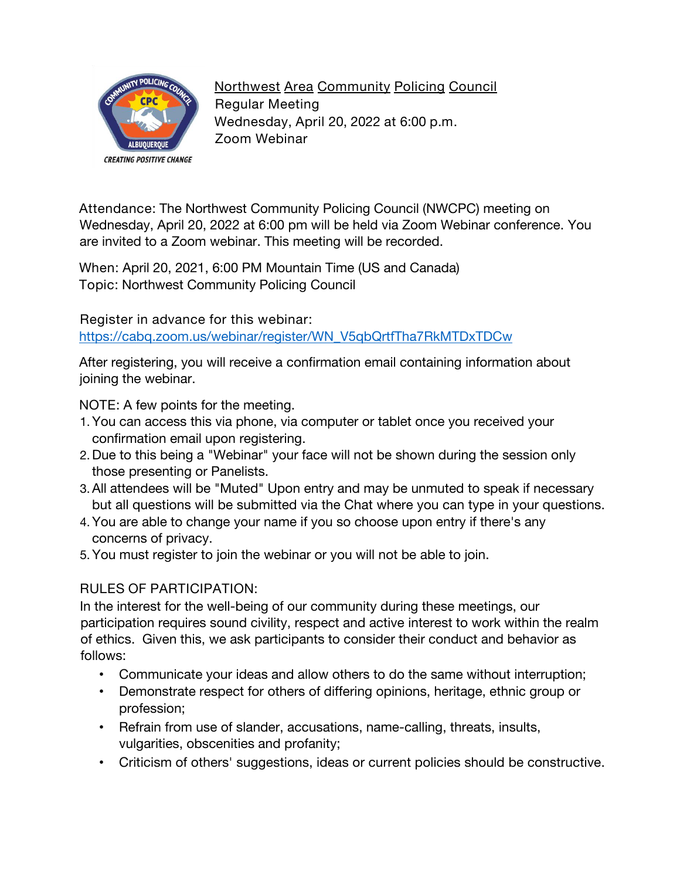

**Northwest Area Community Policing Council Regular Meeting Wednesday, April 20, 2022 at 6:00 p.m. Zoom Webinar**

**Attendance:** The Northwest Community Policing Council (NWCPC) meeting on Wednesday, April 20, 2022 at 6:00 pm will be held via Zoom Webinar conference. You are invited to a Zoom webinar. This meeting will be recorded.

**When:** April 20, 2021, 6:00 PM Mountain Time (US and Canada) **Topic:** Northwest Community Policing Council

**Register in advance for this webinar:**

[https://cabq.zoom.us/webinar/register/WN\\_V5qbQrtfTha7RkMTDxTDCw](https://cabq.zoom.us/webinar/register/WN_V5qbQrtfTha7RkMTDxTDCw)

After registering, you will receive a confirmation email containing information about joining the webinar.

**NOTE:** A few points for the meeting.

- 1.You can access this via phone, via computer or tablet once you received your confirmation email upon registering.
- 2. Due to this being a "Webinar" your face will not be shown during the session only those presenting or Panelists.
- 3.All attendees will be "Muted" Upon entry and may be unmuted to speak if necessary but all questions will be submitted via the Chat where you can type in your questions.
- 4.You are able to change your name if you so choose upon entry if there's any concerns of privacy.
- 5.You must register to join the webinar or you will not be able to join.

## **RULES OF PARTICIPATION:**

In the interest for the well-being of our community during these meetings, our participation requires sound civility, respect and active interest to work within the realm of ethics. Given this, we ask participants to consider their conduct and behavior as follows:

- Communicate your ideas and allow others to do the same without interruption;
- Demonstrate respect for others of differing opinions, heritage, ethnic group or profession;
- Refrain from use of slander, accusations, name-calling, threats, insults, vulgarities, obscenities and profanity;
- Criticism of others' suggestions, ideas or current policies should be constructive.